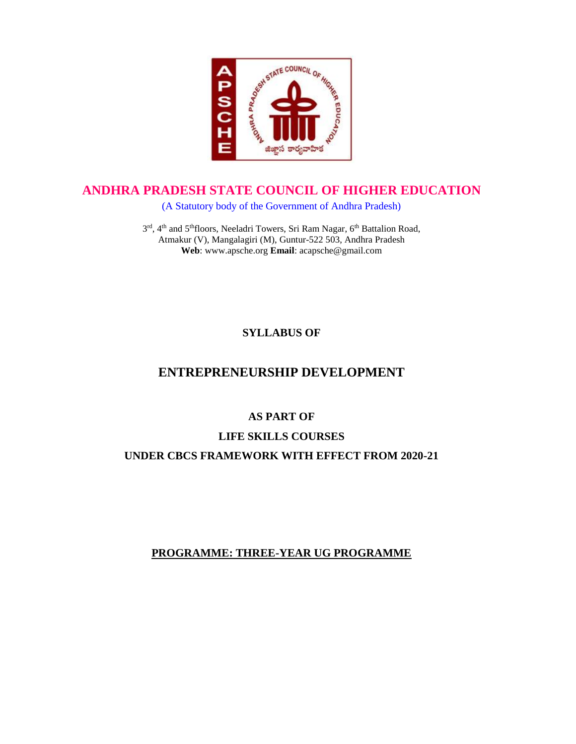

## **ANDHRA PRADESH STATE COUNCIL OF HIGHER EDUCATION**

(A Statutory body of the Government of Andhra Pradesh)

3<sup>rd</sup>, 4<sup>th</sup> and 5<sup>th</sup>floors, Neeladri Towers, Sri Ram Nagar, 6<sup>th</sup> Battalion Road, Atmakur (V), Mangalagiri (M), Guntur-522 503, Andhra Pradesh **Web**: www.apsche.org **Email**: acapsche@gmail.com

## **SYLLABUS OF**

# **ENTREPRENEURSHIP DEVELOPMENT**

## **AS PART OF**

## **LIFE SKILLS COURSES UNDER CBCS FRAMEWORK WITH EFFECT FROM 2020-21**

## **PROGRAMME: THREE-YEAR UG PROGRAMME**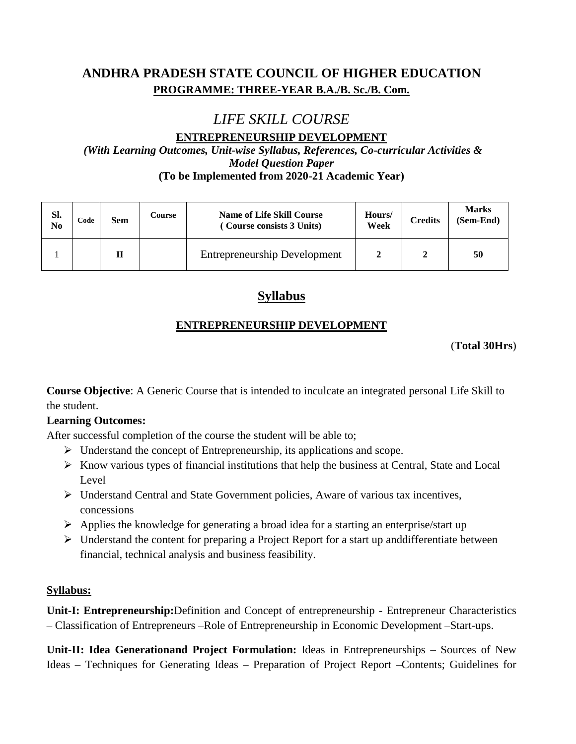# **ANDHRA PRADESH STATE COUNCIL OF HIGHER EDUCATION PROGRAMME: THREE-YEAR B.A./B. Sc./B. Com.**

# *LIFE SKILL COURSE*

**ENTREPRENEURSHIP DEVELOPMENT** *(With Learning Outcomes, Unit-wise Syllabus, References, Co-curricular Activities & Model Question Paper* **(To be Implemented from 2020-21 Academic Year)**

| SI.<br>No | Code | Sem | Course | <b>Name of Life Skill Course</b><br>(Course consists 3 Units) | Hours/<br>Week | <b>Credits</b> | <b>Marks</b><br>(Sem-End) |
|-----------|------|-----|--------|---------------------------------------------------------------|----------------|----------------|---------------------------|
|           |      | ш   |        | <b>Entrepreneurship Development</b>                           |                |                | 50                        |

# **Syllabus**

## **ENTREPRENEURSHIP DEVELOPMENT**

(**Total 30Hrs**)

**Course Objective**: A Generic Course that is intended to inculcate an integrated personal Life Skill to the student.

#### **Learning Outcomes:**

After successful completion of the course the student will be able to;

- $\triangleright$  Understand the concept of Entrepreneurship, its applications and scope.
- $\triangleright$  Know various types of financial institutions that help the business at Central, State and Local Level
- Understand Central and State Government policies, Aware of various tax incentives, concessions
- $\triangleright$  Applies the knowledge for generating a broad idea for a starting an enterprise/start up
- $\triangleright$  Understand the content for preparing a Project Report for a start up and differentiate between financial, technical analysis and business feasibility.

#### **Syllabus:**

**Unit-I: Entrepreneurship:**Definition and Concept of entrepreneurship - Entrepreneur Characteristics – Classification of Entrepreneurs –Role of Entrepreneurship in Economic Development –Start-ups.

**Unit-II: Idea Generationand Project Formulation:** Ideas in Entrepreneurships – Sources of New Ideas – Techniques for Generating Ideas – Preparation of Project Report –Contents; Guidelines for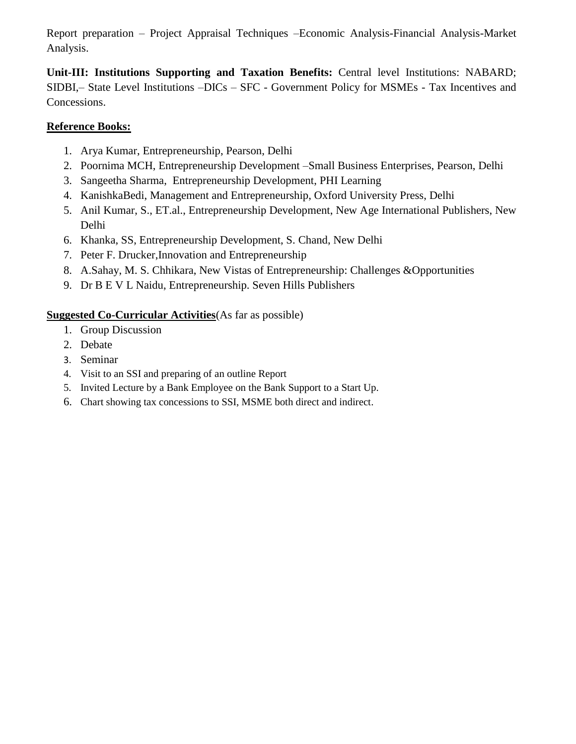Report preparation – Project Appraisal Techniques –Economic Analysis-Financial Analysis-Market Analysis.

**Unit-III: Institutions Supporting and Taxation Benefits:** Central level Institutions: NABARD; SIDBI,– State Level Institutions –DICs – SFC - Government Policy for MSMEs - Tax Incentives and Concessions.

#### **Reference Books:**

- 1. Arya Kumar, Entrepreneurship, Pearson, Delhi
- 2. Poornima MCH, Entrepreneurship Development –Small Business Enterprises, Pearson, Delhi
- 3. Sangeetha Sharma, Entrepreneurship Development, PHI Learning
- 4. KanishkaBedi, Management and Entrepreneurship, Oxford University Press, Delhi
- 5. Anil Kumar, S., ET.al., Entrepreneurship Development, New Age International Publishers, New Delhi
- 6. Khanka, SS, Entrepreneurship Development, S. Chand, New Delhi
- 7. Peter F. Drucker,Innovation and Entrepreneurship
- 8. A.Sahay, M. S. Chhikara, New Vistas of Entrepreneurship: Challenges &Opportunities
- 9. Dr B E V L Naidu, Entrepreneurship. Seven Hills Publishers

#### **Suggested Co-Curricular Activities**(As far as possible)

- 1. Group Discussion
- 2. Debate
- 3. Seminar
- 4. Visit to an SSI and preparing of an outline Report
- 5. Invited Lecture by a Bank Employee on the Bank Support to a Start Up.
- 6. Chart showing tax concessions to SSI, MSME both direct and indirect.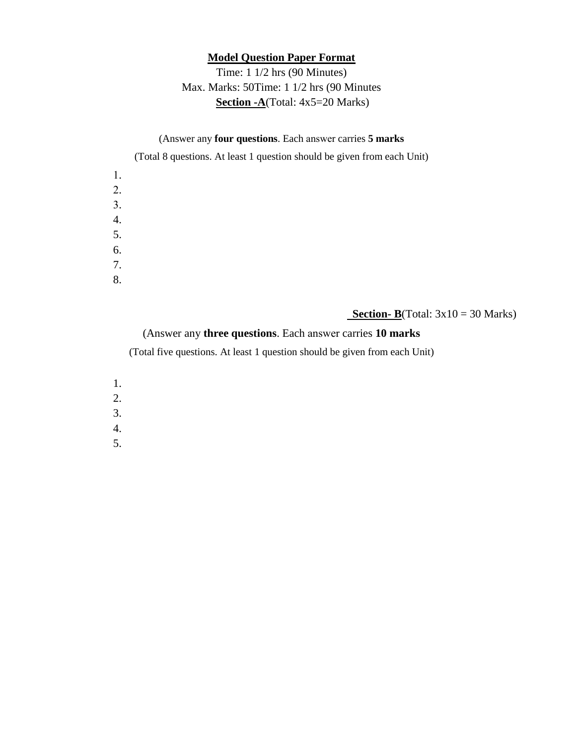#### **Model Question Paper Format**

## Time: 1 1/2 hrs (90 Minutes) Max. Marks: 50Time: 1 1/2 hrs (90 Minutes **Section -A**(Total: 4x5=20 Marks)

#### (Answer any **four questions**. Each answer carries **5 marks**

(Total 8 questions. At least 1 question should be given from each Unit)

| 1. |  |  |  |
|----|--|--|--|
| 2. |  |  |  |
| 3. |  |  |  |
| 4. |  |  |  |
| 5. |  |  |  |
| 6. |  |  |  |
| 7. |  |  |  |
| 8. |  |  |  |

#### **<u>Section- B</u>**(Total:  $3x10 = 30$  Marks)

(Answer any **three questions**. Each answer carries **10 marks**

(Total five questions. At least 1 question should be given from each Unit)

- 1.
- 2.
- 3.
- 4.
- 5.